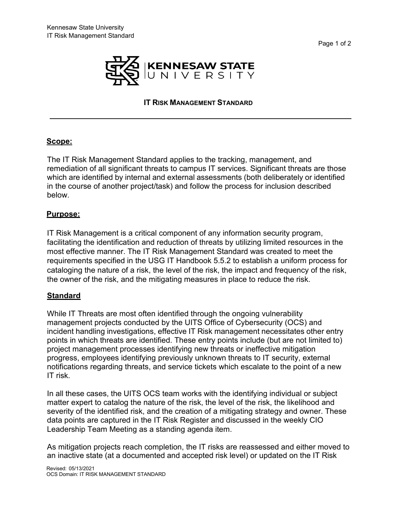

# **IT RISK MANAGEMENT STANDARD**

### **Scope:**

The IT Risk Management Standard applies to the tracking, management, and remediation of all significant threats to campus IT services. Significant threats are those which are identified by internal and external assessments (both deliberately or identified in the course of another project/task) and follow the process for inclusion described below.

#### **Purpose:**

IT Risk Management is a critical component of any information security program, facilitating the identification and reduction of threats by utilizing limited resources in the most effective manner. The IT Risk Management Standard was created to meet the requirements specified in the USG IT Handbook 5.5.2 to establish a uniform process for cataloging the nature of a risk, the level of the risk, the impact and frequency of the risk, the owner of the risk, and the mitigating measures in place to reduce the risk.

### **Standard**

While IT Threats are most often identified through the ongoing vulnerability management projects conducted by the UITS Office of Cybersecurity (OCS) and incident handling investigations, effective IT Risk management necessitates other entry points in which threats are identified. These entry points include (but are not limited to) project management processes identifying new threats or ineffective mitigation progress, employees identifying previously unknown threats to IT security, external notifications regarding threats, and service tickets which escalate to the point of a new IT risk.

In all these cases, the UITS OCS team works with the identifying individual or subject matter expert to catalog the nature of the risk, the level of the risk, the likelihood and severity of the identified risk, and the creation of a mitigating strategy and owner. These data points are captured in the IT Risk Register and discussed in the weekly CIO Leadership Team Meeting as a standing agenda item.

As mitigation projects reach completion, the IT risks are reassessed and either moved to an inactive state (at a documented and accepted risk level) or updated on the IT Risk